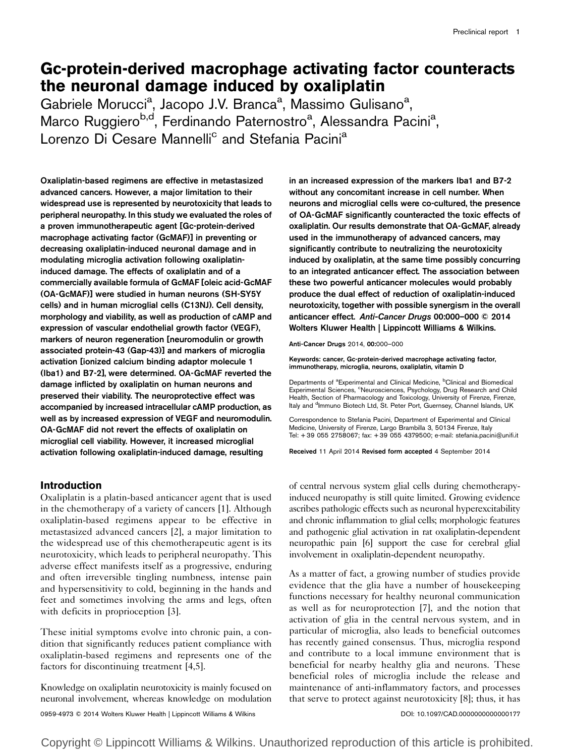# Gc-protein-derived macrophage activating factor counteracts the neuronal damage induced by oxaliplatin

Gabriele Morucci<sup>a</sup>, Jacopo J.V. Branca<sup>a</sup>, Massimo Gulisano<sup>a</sup>, Marco Ruggiero<sup>b,d</sup>, Ferdinando Paternostro<sup>a</sup>, Alessandra Pacini<sup>a</sup>, Lorenzo Di Cesare Mannelli<sup>c</sup> and Stefania Pacini<sup>a</sup>

Oxaliplatin-based regimens are effective in metastasized advanced cancers. However, a major limitation to their widespread use is represented by neurotoxicity that leads to peripheral neuropathy. In this study we evaluated the roles of a proven immunotherapeutic agent [Gc-protein-derived macrophage activating factor (GcMAF)] in preventing or decreasing oxaliplatin-induced neuronal damage and in modulating microglia activation following oxaliplatininduced damage. The effects of oxaliplatin and of a commercially available formula of GcMAF [oleic acid-GcMAF (OA-GcMAF)] were studied in human neurons (SH-SY5Y cells) and in human microglial cells (C13NJ). Cell density, morphology and viability, as well as production of cAMP and expression of vascular endothelial growth factor (VEGF), markers of neuron regeneration [neuromodulin or growth associated protein-43 (Gap-43)] and markers of microglia activation [ionized calcium binding adaptor molecule 1 (Iba1) and B7-2], were determined. OA-GcMAF reverted the damage inflicted by oxaliplatin on human neurons and preserved their viability. The neuroprotective effect was accompanied by increased intracellular cAMP production, as well as by increased expression of VEGF and neuromodulin. OA-GcMAF did not revert the effects of oxaliplatin on microglial cell viability. However, it increased microglial activation following oxaliplatin-induced damage, resulting

# Introduction

Oxaliplatin is a platin-based anticancer agent that is used in the chemotherapy of a variety of cancers [\[1](#page-12-0)]. Although oxaliplatin-based regimens appear to be effective in metastasized advanced cancers [\[2\]](#page-12-0), a major limitation to the widespread use of this chemotherapeutic agent is its neurotoxicity, which leads to peripheral neuropathy. This adverse effect manifests itself as a progressive, enduring and often irreversible tingling numbness, intense pain and hypersensitivity to cold, beginning in the hands and feet and sometimes involving the arms and legs, often with deficits in proprioception [\[3\]](#page-12-0).

These initial symptoms evolve into chronic pain, a condition that significantly reduces patient compliance with oxaliplatin-based regimens and represents one of the factors for discontinuing treatment [\[4,5](#page-12-0)].

Knowledge on oxaliplatin neurotoxicity is mainly focused on neuronal involvement, whereas knowledge on modulation in an increased expression of the markers Iba1 and B7-2 without any concomitant increase in cell number. When neurons and microglial cells were co-cultured, the presence of OA-GcMAF significantly counteracted the toxic effects of oxaliplatin. Our results demonstrate that OA-GcMAF, already used in the immunotherapy of advanced cancers, may significantly contribute to neutralizing the neurotoxicity induced by oxaliplatin, at the same time possibly concurring to an integrated anticancer effect. The association between these two powerful anticancer molecules would probably produce the dual effect of reduction of oxaliplatin-induced neurotoxicity, together with possible synergism in the overall anticancer effect. Anti-Cancer Drugs 00:000–000 © 2014 Wolters Kluwer Health | Lippincott Williams & Wilkins.

Anti-Cancer Drugs 2014, 00:000–000

Keywords: cancer, Gc-protein-derived macrophage activating factor, immunotherapy, microglia, neurons, oxaliplatin, vitamin D

Departments of <sup>a</sup>Experimental and Clinical Medicine, <sup>b</sup>Clinical and Biomedical Experimental Sciences, <sup>c</sup>Neurosciences, Psychology, Drug Research and Child Health, Section of Pharmacology and Toxicology, University of Firenze, Firenze, Italy and <sup>d</sup>Immuno Biotech Ltd, St. Peter Port, Guernsey, Channel Islands, UK

Correspondence to Stefania Pacini, Department of Experimental and Clinical Medicine, University of Firenze, Largo Brambilla 3, 50134 Firenze, Italy Tel: + 39 055 2758067; fax: + 39 055 4379500; e-mail: [stefania.pacini@unifi.it](mailto:stefania.pacini@unifi.it)

Received 11 April 2014 Revised form accepted 4 September 2014

of central nervous system glial cells during chemotherapyinduced neuropathy is still quite limited. Growing evidence ascribes pathologic effects such as neuronal hyperexcitability and chronic inflammation to glial cells; morphologic features and pathogenic glial activation in rat oxaliplatin-dependent neuropathic pain [\[6](#page-12-0)] support the case for cerebral glial involvement in oxaliplatin-dependent neuropathy.

As a matter of fact, a growing number of studies provide evidence that the glia have a number of housekeeping functions necessary for healthy neuronal communication as well as for neuroprotection [\[7\]](#page-12-0), and the notion that activation of glia in the central nervous system, and in particular of microglia, also leads to beneficial outcomes has recently gained consensus. Thus, microglia respond and contribute to a local immune environment that is beneficial for nearby healthy glia and neurons. These beneficial roles of microglia include the release and maintenance of anti-inflammatory factors, and processes that serve to protect against neurotoxicity [\[8\]](#page-12-0); thus, it has

0959-4973 © 2014 Wolters Kluwer Health | Lippincott Williams & Wilkins DOI: 10.1097/CAD.0000000000000177

Copyright © Lippincott Williams & Wilkins. Unauthorized reproduction of this article is prohibited.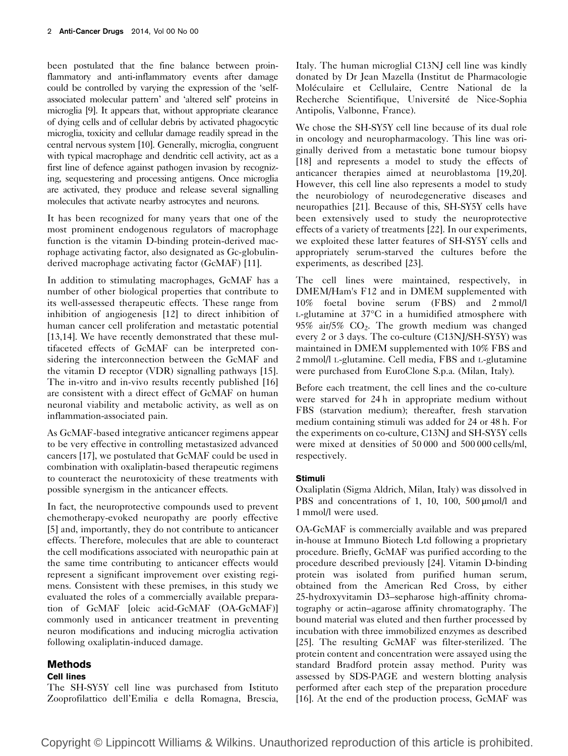been postulated that the fine balance between proinflammatory and anti-inflammatory events after damage could be controlled by varying the expression of the 'selfassociated molecular pattern' and 'altered self' proteins in microglia [\[9\]](#page-12-0). It appears that, without appropriate clearance of dying cells and of cellular debris by activated phagocytic microglia, toxicity and cellular damage readily spread in the central nervous system [\[10\]](#page-12-0). Generally, microglia, congruent with typical macrophage and dendritic cell activity, act as a first line of defence against pathogen invasion by recognizing, sequestering and processing antigens. Once microglia are activated, they produce and release several signalling molecules that activate nearby astrocytes and neurons.

It has been recognized for many years that one of the most prominent endogenous regulators of macrophage function is the vitamin D-binding protein-derived macrophage activating factor, also designated as Gc-globulinderived macrophage activating factor (GcMAF) [\[11](#page-12-0)].

In addition to stimulating macrophages, GcMAF has a number of other biological properties that contribute to its well-assessed therapeutic effects. These range from inhibition of angiogenesis [\[12](#page-12-0)] to direct inhibition of human cancer cell proliferation and metastatic potential [\[13,14](#page-12-0)]. We have recently demonstrated that these multifaceted effects of GcMAF can be interpreted considering the interconnection between the GcMAF and the vitamin D receptor (VDR) signalling pathways [\[15](#page-12-0)]. The in-vitro and in-vivo results recently published [\[16\]](#page-12-0) are consistent with a direct effect of GcMAF on human neuronal viability and metabolic activity, as well as on inflammation-associated pain.

As GcMAF-based integrative anticancer regimens appear to be very effective in controlling metastasized advanced cancers [\[17\]](#page-12-0), we postulated that GcMAF could be used in combination with oxaliplatin-based therapeutic regimens to counteract the neurotoxicity of these treatments with possible synergism in the anticancer effects.

In fact, the neuroprotective compounds used to prevent chemotherapy-evoked neuropathy are poorly effective [\[5](#page-12-0)] and, importantly, they do not contribute to anticancer effects. Therefore, molecules that are able to counteract the cell modifications associated with neuropathic pain at the same time contributing to anticancer effects would represent a significant improvement over existing regimens. Consistent with these premises, in this study we evaluated the roles of a commercially available preparation of GcMAF [oleic acid-GcMAF (OA-GcMAF)] commonly used in anticancer treatment in preventing neuron modifications and inducing microglia activation following oxaliplatin-induced damage.

# Methods

## Cell lines

The SH-SY5Y cell line was purchased from Istituto Zooprofilattico dell'Emilia e della Romagna, Brescia, Italy. The human microglial C13NJ cell line was kindly donated by Dr Jean Mazella (Institut de Pharmacologie Moléculaire et Cellulaire, Centre National de la Recherche Scientifique, Université de Nice-Sophia Antipolis, Valbonne, France).

We chose the SH-SY5Y cell line because of its dual role in oncology and neuropharmacology. This line was originally derived from a metastatic bone tumour biopsy [\[18\]](#page-12-0) and represents a model to study the effects of anticancer therapies aimed at neuroblastoma [\[19,20](#page-12-0)]. However, this cell line also represents a model to study the neurobiology of neurodegenerative diseases and neuropathies [\[21](#page-12-0)]. Because of this, SH-SY5Y cells have been extensively used to study the neuroprotective effects of a variety of treatments [\[22\]](#page-12-0). In our experiments, we exploited these latter features of SH-SY5Y cells and appropriately serum-starved the cultures before the experiments, as described [\[23](#page-12-0)].

The cell lines were maintained, respectively, in DMEM/Ham's F12 and in DMEM supplemented with 10% foetal bovine serum (FBS) and 2 mmol/l L-glutamine at 37°C in a humidified atmosphere with 95% air/5% CO2. The growth medium was changed every 2 or 3 days. The co-culture (C13NJ/SH-SY5Y) was maintained in DMEM supplemented with 10% FBS and 2 mmol/l L-glutamine. Cell media, FBS and L-glutamine were purchased from EuroClone S.p.a. (Milan, Italy).

Before each treatment, the cell lines and the co-culture were starved for 24 h in appropriate medium without FBS (starvation medium); thereafter, fresh starvation medium containing stimuli was added for 24 or 48 h. For the experiments on co-culture, C13NJ and SH-SY5Y cells were mixed at densities of 50 000 and 500 000 cells/ml, respectively.

# Stimuli

Oxaliplatin (Sigma Aldrich, Milan, Italy) was dissolved in PBS and concentrations of 1, 10, 100, 500  $\mu$ mol/l and 1 mmol/l were used.

OA-GcMAF is commercially available and was prepared in-house at Immuno Biotech Ltd following a proprietary procedure. Briefly, GcMAF was purified according to the procedure described previously [\[24](#page-12-0)]. Vitamin D-binding protein was isolated from purified human serum, obtained from the American Red Cross, by either 25-hydroxyvitamin D3–sepharose high-affinity chromatography or actin–agarose affinity chromatography. The bound material was eluted and then further processed by incubation with three immobilized enzymes as described [\[25\]](#page-12-0). The resulting GcMAF was filter-sterilized. The protein content and concentration were assayed using the standard Bradford protein assay method. Purity was assessed by SDS-PAGE and western blotting analysis performed after each step of the preparation procedure [\[16\]](#page-12-0). At the end of the production process, GcMAF was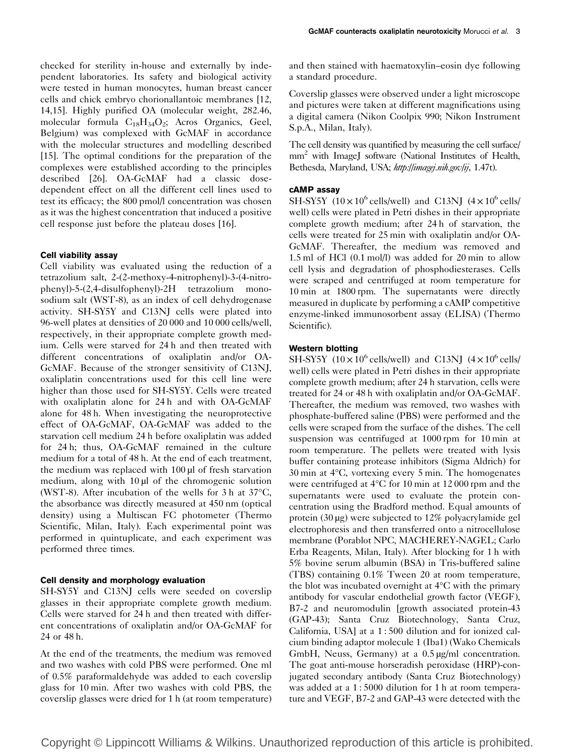checked for sterility in-house and externally by independent laboratories. Its safety and biological activity were tested in human monocytes, human breast cancer cells and chick embryo chorionallantoic membranes [\[12](#page-12-0), [14,15](#page-12-0)]. Highly purified OA (molecular weight, 282.46, molecular formula  $C_{18}H_{34}O_2$ ; Acros Organics, Geel, Belgium) was complexed with GcMAF in accordance with the molecular structures and modelling described [\[15](#page-12-0)]. The optimal conditions for the preparation of the complexes were established according to the principles described [\[26\]](#page-12-0). OA-GcMAF had a classic dosedependent effect on all the different cell lines used to test its efficacy; the 800 pmol/l concentration was chosen as it was the highest concentration that induced a positive cell response just before the plateau doses [\[16\]](#page-12-0).

#### Cell viability assay

Cell viability was evaluated using the reduction of a tetrazolium salt, 2-(2-methoxy-4-nitrophenyl)-3-(4-nitrophenyl)-5-(2,4-disulfophenyl)-2H tetrazolium monosodium salt (WST-8), as an index of cell dehydrogenase activity. SH-SY5Y and C13NJ cells were plated into 96-well plates at densities of 20 000 and 10 000 cells/well, respectively, in their appropriate complete growth medium. Cells were starved for 24 h and then treated with different concentrations of oxaliplatin and/or OA-GcMAF. Because of the stronger sensitivity of C13NJ, oxaliplatin concentrations used for this cell line were higher than those used for SH-SY5Y. Cells were treated with oxaliplatin alone for 24 h and with OA-GcMAF alone for 48 h. When investigating the neuroprotective effect of OA-GcMAF, OA-GcMAF was added to the starvation cell medium 24 h before oxaliplatin was added for 24 h; thus, OA-GcMAF remained in the culture medium for a total of 48 h. At the end of each treatment, the medium was replaced with 100 µl of fresh starvation medium, along with 10 µl of the chromogenic solution (WST-8). After incubation of the wells for 3 h at 37°C, the absorbance was directly measured at 450 nm (optical density) using a Multiscan FC photometer (Thermo Scientific, Milan, Italy). Each experimental point was performed in quintuplicate, and each experiment was performed three times.

#### Cell density and morphology evaluation

SH-SY5Y and C13NJ cells were seeded on coverslip glasses in their appropriate complete growth medium. Cells were starved for 24 h and then treated with different concentrations of oxaliplatin and/or OA-GcMAF for 24 or 48 h.

At the end of the treatments, the medium was removed and two washes with cold PBS were performed. One ml of 0.5% paraformaldehyde was added to each coverslip glass for 10 min. After two washes with cold PBS, the coverslip glasses were dried for 1 h (at room temperature) and then stained with haematoxylin–eosin dye following a standard procedure.

Coverslip glasses were observed under a light microscope and pictures were taken at different magnifications using a digital camera (Nikon Coolpix 990; Nikon Instrument S.p.A., Milan, Italy).

The cell density was quantified by measuring the cell surface/ mm<sup>2</sup> with ImageJ software (National Institutes of Health, Bethesda, Maryland, USA; <http://imagej.nih.gov/ij>, 1.47t).

## cAMP assay

SH-SY5Y (10 $\times$ 10<sup>6</sup> cells/well) and C13NJ (4 $\times$ 10<sup>6</sup> cells/ well) cells were plated in Petri dishes in their appropriate complete growth medium; after 24 h of starvation, the cells were treated for 25 min with oxaliplatin and/or OA-GcMAF. Thereafter, the medium was removed and 1.5 ml of HCl (0.1 mol/l) was added for 20 min to allow cell lysis and degradation of phosphodiesterases. Cells were scraped and centrifuged at room temperature for 10 min at 1800 rpm. The supernatants were directly measured in duplicate by performing a cAMP competitive enzyme-linked immunosorbent assay (ELISA) (Thermo Scientific).

## Western blotting

SH-SY5Y ( $10 \times 10^6$  cells/well) and C13NJ ( $4 \times 10^6$  cells/ well) cells were plated in Petri dishes in their appropriate complete growth medium; after 24 h starvation, cells were treated for 24 or 48 h with oxaliplatin and/or OA-GcMAF. Thereafter, the medium was removed, two washes with phosphate-buffered saline (PBS) were performed and the cells were scraped from the surface of the dishes. The cell suspension was centrifuged at 1000 rpm for 10 min at room temperature. The pellets were treated with lysis buffer containing protease inhibitors (Sigma Aldrich) for 30 min at 4°C, vortexing every 5 min. The homogenates were centrifuged at 4°C for 10 min at 12 000 rpm and the supernatants were used to evaluate the protein concentration using the Bradford method. Equal amounts of protein (30 µg) were subjected to 12% polyacrylamide gel electrophoresis and then transferred onto a nitrocellulose membrane (Porablot NPC, MACHEREY-NAGEL; Carlo Erba Reagents, Milan, Italy). After blocking for 1 h with 5% bovine serum albumin (BSA) in Tris-buffered saline (TBS) containing 0.1% Tween 20 at room temperature, the blot was incubated overnight at 4°C with the primary antibody for vascular endothelial growth factor (VEGF), B7-2 and neuromodulin [growth associated protein-43 (GAP-43); Santa Cruz Biotechnology, Santa Cruz, California, USA] at a 1 : 500 dilution and for ionized calcium binding adaptor molecule 1 (Iba1) (Wako Chemicals GmbH, Neuss, Germany) at a 0.5 µg/ml concentration. The goat anti-mouse horseradish peroxidase (HRP)-conjugated secondary antibody (Santa Cruz Biotechnology) was added at a 1:5000 dilution for 1 h at room temperature and VEGF, B7-2 and GAP-43 were detected with the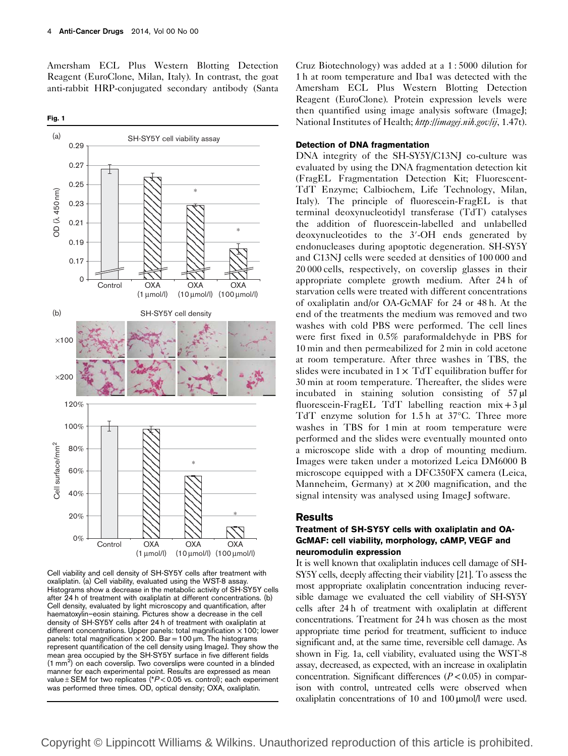<span id="page-3-0"></span>Amersham ECL Plus Western Blotting Detection Reagent (EuroClone, Milan, Italy). In contrast, the goat anti-rabbit HRP-conjugated secondary antibody (Santa

Fig. 1



Cell viability and cell density of SH-SY5Y cells after treatment with oxaliplatin. (a) Cell viability, evaluated using the WST-8 assay. Histograms show a decrease in the metabolic activity of SH-SY5Y cells after 24 h of treatment with oxaliplatin at different concentrations. (b) Cell density, evaluated by light microscopy and quantification, after haematoxylin–eosin staining. Pictures show a decrease in the cell density of SH-SY5Y cells after 24 h of treatment with oxaliplatin at different concentrations. Upper panels: total magnification  $\times$  100; lower panels: total magnification  $\times$  200. Bar = 100 µm. The histograms represent quantification of the cell density using ImageJ. They show the mean area occupied by the SH-SY5Y surface in five different fields (1 mm<sup>2</sup>) on each coverslip. Two coverslips were counted in a blinded manner for each experimental point. Results are expressed as mean value  $\pm$  SEM for two replicates (\* $P$  < 0.05 vs. control); each experiment was performed three times. OD, optical density; OXA, oxaliplatin.

Cruz Biotechnology) was added at a 1 : 5000 dilution for 1 h at room temperature and Iba1 was detected with the Amersham ECL Plus Western Blotting Detection Reagent (EuroClone). Protein expression levels were then quantified using image analysis software (ImageJ; National Institutes of Health; <http://imagej.nih.gov/ij>, 1.47t).

## Detection of DNA fragmentation

DNA integrity of the SH-SY5Y/C13NJ co-culture was evaluated by using the DNA fragmentation detection kit (FragEL Fragmentation Detection Kit; Fluorescent-TdT Enzyme; Calbiochem, Life Technology, Milan, Italy). The principle of fluorescein-FragEL is that terminal deoxynucleotidyl transferase (TdT) catalyses the addition of fluorescein-labelled and unlabelled deoxynucleotides to the 3′-OH ends generated by endonucleases during apoptotic degeneration. SH-SY5Y and C13NJ cells were seeded at densities of 100 000 and 20 000 cells, respectively, on coverslip glasses in their appropriate complete growth medium. After 24 h of starvation cells were treated with different concentrations of oxaliplatin and/or OA-GcMAF for 24 or 48 h. At the end of the treatments the medium was removed and two washes with cold PBS were performed. The cell lines were first fixed in 0.5% paraformaldehyde in PBS for 10 min and then permeabilized for 2 min in cold acetone at room temperature. After three washes in TBS, the slides were incubated in  $1 \times TdT$  equilibration buffer for 30 min at room temperature. Thereafter, the slides were incubated in staining solution consisting of 57 µl fluorescein-FragEL TdT labelling reaction  $mix + 3$  µl TdT enzyme solution for 1.5 h at 37°C. Three more washes in TBS for 1 min at room temperature were performed and the slides were eventually mounted onto a microscope slide with a drop of mounting medium. Images were taken under a motorized Leica DM6000 B microscope equipped with a DFC350FX camera (Leica, Manneheim, Germany) at  $\times$  200 magnification, and the signal intensity was analysed using ImageJ software.

#### **Results**

## Treatment of SH-SY5Y cells with oxaliplatin and OA-GcMAF: cell viability, morphology, cAMP, VEGF and neuromodulin expression

It is well known that oxaliplatin induces cell damage of SH-SY5Y cells, deeply affecting their viability [\[21](#page-12-0)]. To assess the most appropriate oxaliplatin concentration inducing reversible damage we evaluated the cell viability of SH-SY5Y cells after 24 h of treatment with oxaliplatin at different concentrations. Treatment for 24 h was chosen as the most appropriate time period for treatment, sufficient to induce significant and, at the same time, reversible cell damage. As shown in Fig. 1a, cell viability, evaluated using the WST-8 assay, decreased, as expected, with an increase in oxaliplatin concentration. Significant differences  $(P<0.05)$  in comparison with control, untreated cells were observed when oxaliplatin concentrations of 10 and 100 μmol/l were used.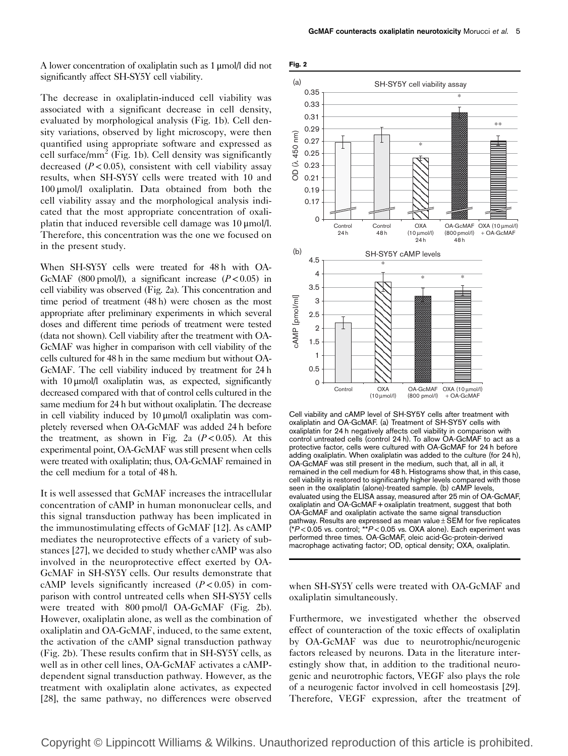A lower concentration of oxaliplatin such as 1 μmol/l did not significantly affect SH-SY5Y cell viability.

The decrease in oxaliplatin-induced cell viability was associated with a significant decrease in cell density, evaluated by morphological analysis [\(Fig. 1b\)](#page-3-0). Cell density variations, observed by light microscopy, were then quantified using appropriate software and expressed as cell surface/mm<sup>2</sup> [\(Fig. 1b\)](#page-3-0). Cell density was significantly decreased  $(P<0.05)$ , consistent with cell viability assay results, when SH-SY5Y cells were treated with 10 and 100 μmol/l oxaliplatin. Data obtained from both the cell viability assay and the morphological analysis indicated that the most appropriate concentration of oxaliplatin that induced reversible cell damage was 10 μmol/l. Therefore, this concentration was the one we focused on in the present study.

When SH-SY5Y cells were treated for 48 h with OA-GcMAF (800 pmol/l), a significant increase ( $P < 0.05$ ) in cell viability was observed (Fig. 2a). This concentration and time period of treatment (48 h) were chosen as the most appropriate after preliminary experiments in which several doses and different time periods of treatment were tested (data not shown). Cell viability after the treatment with OA-GcMAF was higher in comparison with cell viability of the cells cultured for 48 h in the same medium but without OA-GcMAF. The cell viability induced by treatment for 24 h with 10 μmol/l oxaliplatin was, as expected, significantly decreased compared with that of control cells cultured in the same medium for 24 h but without oxaliplatin. The decrease in cell viability induced by 10 μmol/l oxaliplatin was completely reversed when OA-GcMAF was added 24 h before the treatment, as shown in Fig. 2a  $(P<0.05)$ . At this experimental point, OA-GcMAF was still present when cells were treated with oxaliplatin; thus, OA-GcMAF remained in the cell medium for a total of 48 h.

It is well assessed that GcMAF increases the intracellular concentration of cAMP in human mononuclear cells, and this signal transduction pathway has been implicated in the immunostimulating effects of GcMAF [\[12\]](#page-12-0). As cAMP mediates the neuroprotective effects of a variety of substances [\[27](#page-12-0)], we decided to study whether cAMP was also involved in the neuroprotective effect exerted by OA-GcMAF in SH-SY5Y cells. Our results demonstrate that cAMP levels significantly increased  $(P<0.05)$  in comparison with control untreated cells when SH-SY5Y cells were treated with 800 pmol/l OA-GcMAF (Fig. 2b). However, oxaliplatin alone, as well as the combination of oxaliplatin and OA-GcMAF, induced, to the same extent, the activation of the cAMP signal transduction pathway (Fig. 2b). These results confirm that in SH-SY5Y cells, as well as in other cell lines, OA-GcMAF activates a cAMPdependent signal transduction pathway. However, as the treatment with oxaliplatin alone activates, as expected [\[28](#page-12-0)], the same pathway, no differences were observed



Cell viability and cAMP level of SH-SY5Y cells after treatment with oxaliplatin and OA-GcMAF. (a) Treatment of SH-SY5Y cells with oxaliplatin for 24 h negatively affects cell viability in comparison with control untreated cells (control 24 h). To allow OA-GcMAF to act as a protective factor, cells were cultured with OA-GcMAF for 24 h before adding oxaliplatin. When oxaliplatin was added to the culture (for 24 h), OA-GcMAF was still present in the medium, such that, all in all, it remained in the cell medium for 48 h. Histograms show that, in this case, cell viability is restored to significantly higher levels compared with those seen in the oxaliplatin (alone)-treated sample. (b) cAMP levels, evaluated using the ELISA assay, measured after 25 min of OA-GcMAF, oxaliplatin and OA-GcMAF + oxaliplatin treatment, suggest that both OA-GcMAF and oxaliplatin activate the same signal transduction pathway. Results are expressed as mean value $\pm$ SEM for five replicates  $(*P<0.05$  vs. control;  $**P<0.05$  vs. OXA alone). Each experiment was performed three times. OA-GcMAF, oleic acid-Gc-protein-derived macrophage activating factor; OD, optical density; OXA, oxaliplatin.

when SH-SY5Y cells were treated with OA-GcMAF and oxaliplatin simultaneously.

Furthermore, we investigated whether the observed effect of counteraction of the toxic effects of oxaliplatin by OA-GcMAF was due to neurotrophic/neurogenic factors released by neurons. Data in the literature interestingly show that, in addition to the traditional neurogenic and neurotrophic factors, VEGF also plays the role of a neurogenic factor involved in cell homeostasis [\[29](#page-12-0)]. Therefore, VEGF expression, after the treatment of

Copyright © Lippincott Williams & Wilkins. Unauthorized reproduction of this article is prohibited.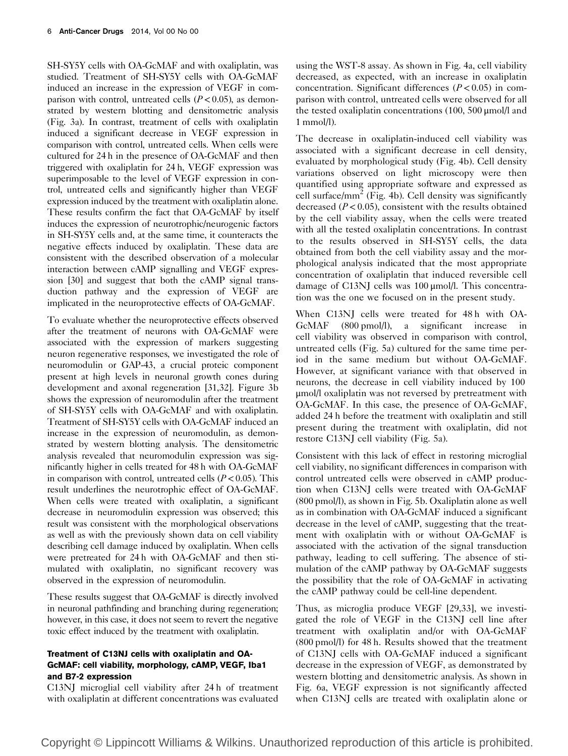SH-SY5Y cells with OA-GcMAF and with oxaliplatin, was studied. Treatment of SH-SY5Y cells with OA-GcMAF induced an increase in the expression of VEGF in comparison with control, untreated cells  $(P<0.05)$ , as demonstrated by western blotting and densitometric analysis [\(Fig. 3a\)](#page-6-0). In contrast, treatment of cells with oxaliplatin induced a significant decrease in VEGF expression in comparison with control, untreated cells. When cells were cultured for 24 h in the presence of OA-GcMAF and then triggered with oxaliplatin for 24 h, VEGF expression was superimposable to the level of VEGF expression in control, untreated cells and significantly higher than VEGF expression induced by the treatment with oxaliplatin alone. These results confirm the fact that OA-GcMAF by itself induces the expression of neurotrophic/neurogenic factors in SH-SY5Y cells and, at the same time, it counteracts the negative effects induced by oxaliplatin. These data are consistent with the described observation of a molecular interaction between cAMP signalling and VEGF expression [\[30\]](#page-12-0) and suggest that both the cAMP signal transduction pathway and the expression of VEGF are implicated in the neuroprotective effects of OA-GcMAF.

To evaluate whether the neuroprotective effects observed after the treatment of neurons with OA-GcMAF were associated with the expression of markers suggesting neuron regenerative responses, we investigated the role of neuromodulin or GAP-43, a crucial proteic component present at high levels in neuronal growth cones during development and axonal regeneration [\[31](#page-12-0),[32](#page-12-0)]. [Figure 3b](#page-6-0) shows the expression of neuromodulin after the treatment of SH-SY5Y cells with OA-GcMAF and with oxaliplatin. Treatment of SH-SY5Y cells with OA-GcMAF induced an increase in the expression of neuromodulin, as demonstrated by western blotting analysis. The densitometric analysis revealed that neuromodulin expression was significantly higher in cells treated for 48 h with OA-GcMAF in comparison with control, untreated cells  $(P<0.05)$ . This result underlines the neurotrophic effect of OA-GcMAF. When cells were treated with oxaliplatin, a significant decrease in neuromodulin expression was observed; this result was consistent with the morphological observations as well as with the previously shown data on cell viability describing cell damage induced by oxaliplatin. When cells were pretreated for 24 h with OA-GcMAF and then stimulated with oxaliplatin, no significant recovery was observed in the expression of neuromodulin.

These results suggest that OA-GcMAF is directly involved in neuronal pathfinding and branching during regeneration; however, in this case, it does not seem to revert the negative toxic effect induced by the treatment with oxaliplatin.

## Treatment of C13NJ cells with oxaliplatin and OA-GcMAF: cell viability, morphology, cAMP, VEGF, Iba1 and B7-2 expression

C13NJ microglial cell viability after 24 h of treatment with oxaliplatin at different concentrations was evaluated using the WST-8 assay. As shown in [Fig. 4a,](#page-7-0) cell viability decreased, as expected, with an increase in oxaliplatin concentration. Significant differences  $(P < 0.05)$  in comparison with control, untreated cells were observed for all the tested oxaliplatin concentrations (100, 500 μmol/l and 1 mmol/l).

The decrease in oxaliplatin-induced cell viability was associated with a significant decrease in cell density, evaluated by morphological study ([Fig. 4b\)](#page-7-0). Cell density variations observed on light microscopy were then quantified using appropriate software and expressed as cell surface/mm<sup>2</sup> [\(Fig. 4b\)](#page-7-0). Cell density was significantly decreased  $(P< 0.05)$ , consistent with the results obtained by the cell viability assay, when the cells were treated with all the tested oxaliplatin concentrations. In contrast to the results observed in SH-SY5Y cells, the data obtained from both the cell viability assay and the morphological analysis indicated that the most appropriate concentration of oxaliplatin that induced reversible cell damage of C13NJ cells was 100 μmol/l. This concentration was the one we focused on in the present study.

When C13NJ cells were treated for 48 h with OA-GcMAF (800 pmol/l), a significant increase in cell viability was observed in comparison with control, untreated cells ([Fig. 5a](#page-7-0)) cultured for the same time period in the same medium but without OA-GcMAF. However, at significant variance with that observed in neurons, the decrease in cell viability induced by 100 μmol/l oxaliplatin was not reversed by pretreatment with OA-GcMAF. In this case, the presence of OA-GcMAF, added 24 h before the treatment with oxaliplatin and still present during the treatment with oxaliplatin, did not restore C13NJ cell viability [\(Fig. 5a\)](#page-7-0).

Consistent with this lack of effect in restoring microglial cell viability, no significant differences in comparison with control untreated cells were observed in cAMP production when C13NJ cells were treated with OA-GcMAF (800 pmol/l), as shown in [Fig. 5b](#page-7-0). Oxaliplatin alone as well as in combination with OA-GcMAF induced a significant decrease in the level of cAMP, suggesting that the treatment with oxaliplatin with or without OA-GcMAF is associated with the activation of the signal transduction pathway, leading to cell suffering. The absence of stimulation of the cAMP pathway by OA-GcMAF suggests the possibility that the role of OA-GcMAF in activating the cAMP pathway could be cell-line dependent.

Thus, as microglia produce VEGF [\[29,33](#page-12-0)], we investigated the role of VEGF in the C13NJ cell line after treatment with oxaliplatin and/or with OA-GcMAF (800 pmol/l) for 48 h. Results showed that the treatment of C13NJ cells with OA-GcMAF induced a significant decrease in the expression of VEGF, as demonstrated by western blotting and densitometric analysis. As shown in [Fig. 6a,](#page-8-0) VEGF expression is not significantly affected when C13NJ cells are treated with oxaliplatin alone or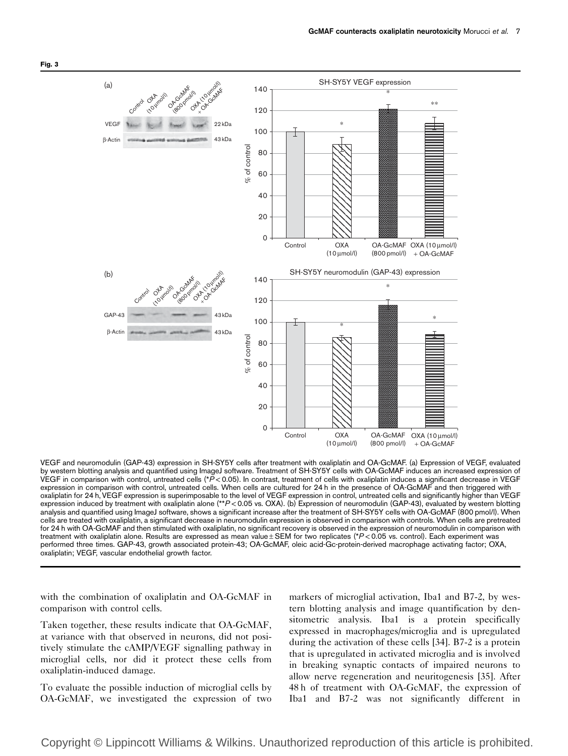

VEGF and neuromodulin (GAP-43) expression in SH-SY5Y cells after treatment with oxaliplatin and OA-GcMAF. (a) Expression of VEGF, evaluated by western blotting analysis and quantified using ImageJ software. Treatment of SH-SY5Y cells with OA-GcMAF induces an increased expression of VEGF in comparison with control, untreated cells (\*P<0.05). In contrast, treatment of cells with oxaliplatin induces a significant decrease in VEGF expression in comparison with control, untreated cells. When cells are cultured for 24 h in the presence of OA-GcMAF and then triggered with oxaliplatin for 24 h, VEGF expression is superimposable to the level of VEGF expression in control, untreated cells and significantly higher than VEGF expression induced by treatment with oxaliplatin alone (\*\*P<0.05 vs. OXA). (b) Expression of neuromodulin (GAP-43), evaluated by western blotting analysis and quantified using ImageJ software, shows a significant increase after the treatment of SH-SY5Y cells with OA-GcMAF (800 pmol/l). When cells are treated with oxaliplatin, a significant decrease in neuromodulin expression is observed in comparison with controls. When cells are pretreated for 24 h with OA-GcMAF and then stimulated with oxaliplatin, no significant recovery is observed in the expression of neuromodulin in comparison with treatment with oxaliplatin alone. Results are expressed as mean value  $\pm$  SEM for two replicates (\*P<0.05 vs. control). Each experiment was performed three times. GAP-43, growth associated protein-43; OA-GcMAF, oleic acid-Gc-protein-derived macrophage activating factor; OXA, oxaliplatin; VEGF, vascular endothelial growth factor.

with the combination of oxaliplatin and OA-GcMAF in comparison with control cells.

Taken together, these results indicate that OA-GcMAF, at variance with that observed in neurons, did not positively stimulate the cAMP/VEGF signalling pathway in microglial cells, nor did it protect these cells from oxaliplatin-induced damage.

To evaluate the possible induction of microglial cells by OA-GcMAF, we investigated the expression of two markers of microglial activation, Iba1 and B7-2, by western blotting analysis and image quantification by densitometric analysis. Iba1 is a protein specifically expressed in macrophages/microglia and is upregulated during the activation of these cells [\[34](#page-12-0)]. B7-2 is a protein that is upregulated in activated microglia and is involved in breaking synaptic contacts of impaired neurons to allow nerve regeneration and neuritogenesis [\[35\]](#page-12-0). After 48 h of treatment with OA-GcMAF, the expression of Iba1 and B7-2 was not significantly different in

<span id="page-6-0"></span>Fig. 3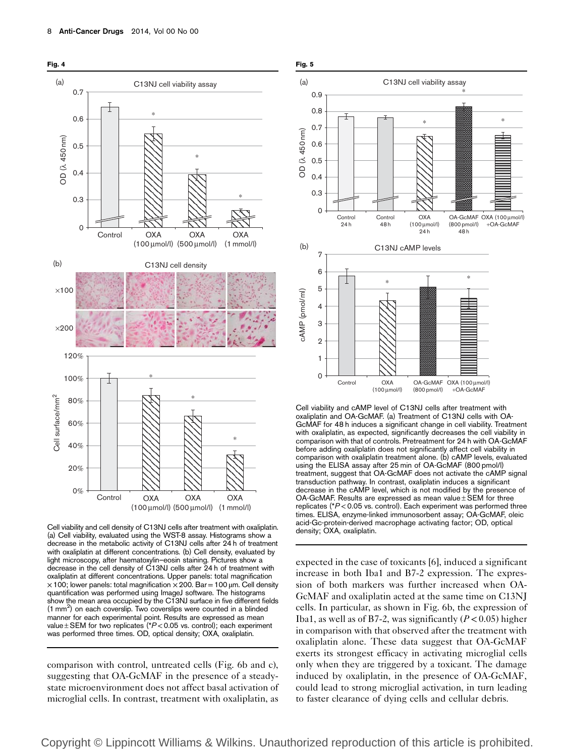<span id="page-7-0"></span>

Cell viability and cell density of C13NJ cells after treatment with oxaliplatin. (a) Cell viability, evaluated using the WST-8 assay. Histograms show a decrease in the metabolic activity of C13NJ cells after 24 h of treatment with oxaliplatin at different concentrations. (b) Cell density, evaluated by light microscopy, after haematoxylin–eosin staining. Pictures show a decrease in the cell density of C13NJ cells after 24 h of treatment with oxaliplatin at different concentrations. Upper panels: total magnification  $\times$  100; lower panels: total magnification  $\times$  200. Bar = 100 µm. Cell density quantification was performed using ImageJ software. The histograms show the mean area occupied by the C13NJ surface in five different fields (1 mm<sup>2</sup>) on each coverslip. Two coverslips were counted in a blinded manner for each experimental point. Results are expressed as mean value  $\pm$  SEM for two replicates (\* $P$  < 0.05 vs. control); each experiment was performed three times. OD, optical density; OXA, oxaliplatin.

comparison with control, untreated cells [\(Fig. 6b and c](#page-8-0)), suggesting that OA-GcMAF in the presence of a steadystate microenvironment does not affect basal activation of microglial cells. In contrast, treatment with oxaliplatin, as



Cell viability and cAMP level of C13NJ cells after treatment with oxaliplatin and OA-GcMAF. (a) Treatment of C13NJ cells with OA-GcMAF for 48 h induces a significant change in cell viability. Treatment with oxaliplatin, as expected, significantly decreases the cell viability in comparison with that of controls. Pretreatment for 24 h with OA-GcMAF before adding oxaliplatin does not significantly affect cell viability in comparison with oxaliplatin treatment alone. (b) cAMP levels, evaluated using the ELISA assay after 25 min of OA-GcMAF (800 pmol/l) treatment, suggest that OA-GcMAF does not activate the cAMP signal transduction pathway. In contrast, oxaliplatin induces a significant decrease in the cAMP level, which is not modified by the presence of OA-GcMAF. Results are expressed as mean value ±SEM for three replicates ( $P$  < 0.05 vs. control). Each experiment was performed three times. ELISA, enzyme-linked immunosorbent assay; OA-GcMAF, oleic acid-Gc-protein-derived macrophage activating factor; OD, optical density; OXA, oxaliplatin.

expected in the case of toxicants [\[6\]](#page-12-0), induced a significant increase in both Iba1 and B7-2 expression. The expression of both markers was further increased when OA-GcMAF and oxaliplatin acted at the same time on C13NJ cells. In particular, as shown in [Fig. 6b,](#page-8-0) the expression of Iba1, as well as of B7-2, was significantly  $(P < 0.05)$  higher in comparison with that observed after the treatment with oxaliplatin alone. These data suggest that OA-GcMAF exerts its strongest efficacy in activating microglial cells only when they are triggered by a toxicant. The damage induced by oxaliplatin, in the presence of OA-GcMAF, could lead to strong microglial activation, in turn leading to faster clearance of dying cells and cellular debris.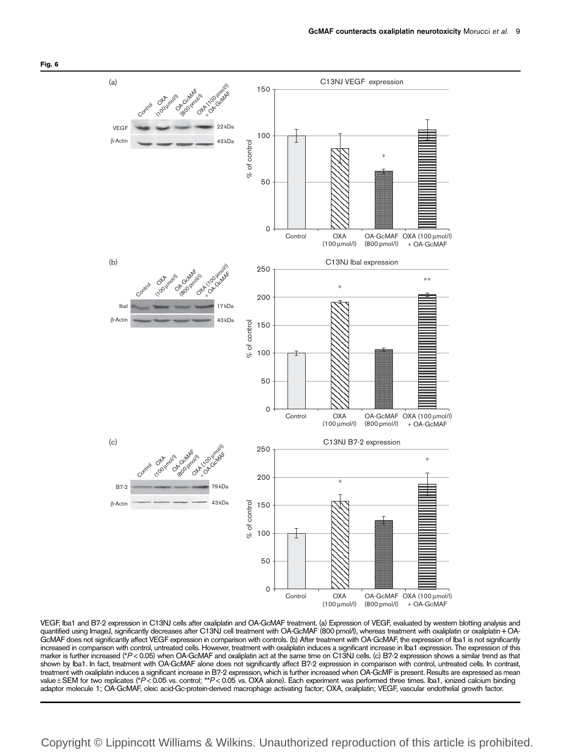<span id="page-8-0"></span>

VEGF, Iba1 and B7-2 expression in C13NJ cells after oxaliplatin and OA-GcMAF treatment. (a) Expression of VEGF, evaluated by western blotting analysis and quantified using ImageJ, significantly decreases after C13NJ cell treatment with OA-GcMAF (800 pmol/l), whereas treatment with oxaliplatin or oxaliplatin+OA-GcMAF does not significantly affect VEGF expression in comparison with controls. (b) After treatment with OA-GcMAF, the expression of Iba1 is not significantly increased in comparison with control, untreated cells. However, treatment with oxaliplatin induces a significant increase in Iba1 expression. The expression of this marker is further increased (\*P<0.05) when OA-GcMAF and oxaliplatin act at the same time on C13NJ cells. (c) B7-2 expression shows a similar trend as that shown by Iba1. In fact, treatment with OA-GcMAF alone does not significantly affect B7-2 expression in comparison with control, untreated cells. In contrast, treatment with oxaliplatin induces a significant increase in B7-2 expression, which is further increased when OA-GcMF is present. Results are expressed as mean<br>value±SEM for two replicates (\*P<0.05 vs. control; \*\*P<0.05 vs adaptor molecule 1; OA-GcMAF, oleic acid-Gc-protein-derived macrophage activating factor; OXA, oxaliplatin; VEGF, vascular endothelial growth factor.

# Copyright © Lippincott Williams & Wilkins. Unauthorized reproduction of this article is prohibited.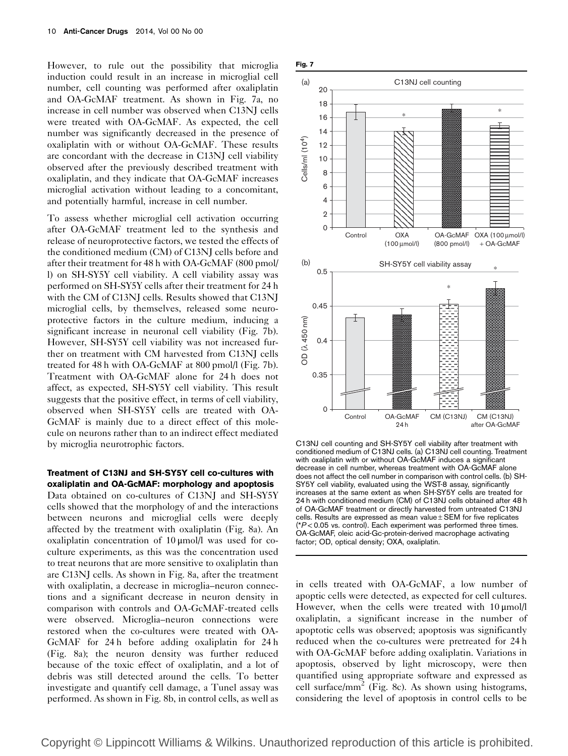However, to rule out the possibility that microglia induction could result in an increase in microglial cell number, cell counting was performed after oxaliplatin and OA-GcMAF treatment. As shown in Fig. 7a, no increase in cell number was observed when C13NJ cells were treated with OA-GcMAF. As expected, the cell number was significantly decreased in the presence of oxaliplatin with or without OA-GcMAF. These results are concordant with the decrease in C13NJ cell viability observed after the previously described treatment with oxaliplatin, and they indicate that OA-GcMAF increases microglial activation without leading to a concomitant, and potentially harmful, increase in cell number.

To assess whether microglial cell activation occurring after OA-GcMAF treatment led to the synthesis and release of neuroprotective factors, we tested the effects of the conditioned medium (CM) of C13NJ cells before and after their treatment for 48 h with OA-GcMAF (800 pmol/ l) on SH-SY5Y cell viability. A cell viability assay was performed on SH-SY5Y cells after their treatment for 24 h with the CM of C13NJ cells. Results showed that C13NJ microglial cells, by themselves, released some neuroprotective factors in the culture medium, inducing a significant increase in neuronal cell viability (Fig. 7b). However, SH-SY5Y cell viability was not increased further on treatment with CM harvested from C13NJ cells treated for 48 h with OA-GcMAF at 800 pmol/l (Fig. 7b). Treatment with OA-GcMAF alone for 24 h does not affect, as expected, SH-SY5Y cell viability. This result suggests that the positive effect, in terms of cell viability, observed when SH-SY5Y cells are treated with OA-GcMAF is mainly due to a direct effect of this molecule on neurons rather than to an indirect effect mediated by microglia neurotrophic factors.

### Treatment of C13NJ and SH-SY5Y cell co-cultures with oxaliplatin and OA-GcMAF: morphology and apoptosis

Data obtained on co-cultures of C13NJ and SH-SY5Y cells showed that the morphology of and the interactions between neurons and microglial cells were deeply affected by the treatment with oxaliplatin [\(Fig. 8a](#page-10-0)). An oxaliplatin concentration of 10 μmol/l was used for coculture experiments, as this was the concentration used to treat neurons that are more sensitive to oxaliplatin than are C13NJ cells. As shown in [Fig. 8a](#page-10-0), after the treatment with oxaliplatin, a decrease in microglia–neuron connections and a significant decrease in neuron density in comparison with controls and OA-GcMAF-treated cells were observed. Microglia–neuron connections were restored when the co-cultures were treated with OA-GcMAF for 24 h before adding oxaliplatin for 24 h [\(Fig. 8a\)](#page-10-0); the neuron density was further reduced because of the toxic effect of oxaliplatin, and a lot of debris was still detected around the cells. To better investigate and quantify cell damage, a Tunel assay was performed. As shown in [Fig. 8b,](#page-10-0) in control cells, as well as



C13NJ cell counting and SH-SY5Y cell viability after treatment with conditioned medium of C13NJ cells. (a) C13NJ cell counting. Treatment with oxaliplatin with or without OA-GcMAF induces a significant decrease in cell number, whereas treatment with OA-GcMAF alone does not affect the cell number in comparison with control cells. (b) SH-SY5Y cell viability, evaluated using the WST-8 assay, significantly increases at the same extent as when SH-SY5Y cells are treated for 24 h with conditioned medium (CM) of C13NJ cells obtained after 48 h of OA-GcMAF treatment or directly harvested from untreated C13NJ cells. Results are expressed as mean value ± SEM for five replicates  $(*P<0.05$  vs. control). Each experiment was performed three times. OA-GcMAF, oleic acid-Gc-protein-derived macrophage activating factor; OD, optical density; OXA, oxaliplatin.

in cells treated with OA-GcMAF, a low number of apoptic cells were detected, as expected for cell cultures. However, when the cells were treated with 10 μmol/l oxaliplatin, a significant increase in the number of apoptotic cells was observed; apoptosis was significantly reduced when the co-cultures were pretreated for 24 h with OA-GcMAF before adding oxaliplatin. Variations in apoptosis, observed by light microscopy, were then quantified using appropriate software and expressed as cell surface/mm<sup>2</sup> ([Fig. 8c\)](#page-10-0). As shown using histograms, considering the level of apoptosis in control cells to be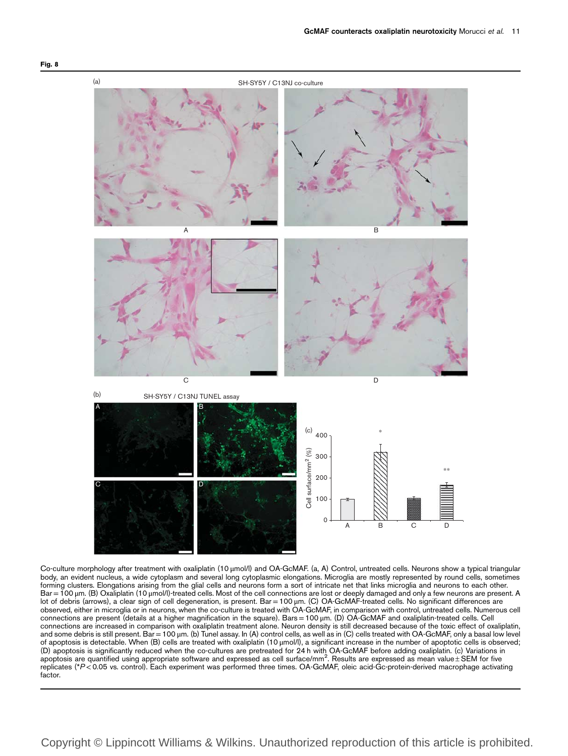

Co-culture morphology after treatment with oxaliplatin (10 μmol/l) and OA-GcMAF. (a, A) Control, untreated cells. Neurons show a typical triangular body, an evident nucleus, a wide cytoplasm and several long cytoplasmic elongations. Microglia are mostly represented by round cells, sometimes forming clusters. Elongations arising from the glial cells and neurons form a sort of intricate net that links microglia and neurons to each other. Bar =100 μm. (B) Oxaliplatin (10 μmol/l)-treated cells. Most of the cell connections are lost or deeply damaged and only a few neurons are present. A lot of debris (arrows), a clear sign of cell degeneration, is present. Bar =100 μm. (C) OA-GcMAF-treated cells. No significant differences are observed, either in microglia or in neurons, when the co-culture is treated with OA-GcMAF, in comparison with control, untreated cells. Numerous cell connections are present (details at a higher magnification in the square). Bars=100 μm. (D) OA-GcMAF and oxaliplatin-treated cells. Cell connections are increased in comparison with oxaliplatin treatment alone. Neuron density is still decreased because of the toxic effect of oxaliplatin, and some debris is still present. Bar=100 μm. (b) Tunel assay. In (A) control cells, as well as in (C) cells treated with OA-GcMAF, only a basal low level of apoptosis is detectable. When (B) cells are treated with oxaliplatin (10 μmol/l), a significant increase in the number of apoptotic cells is observed; (D) apoptosis is significantly reduced when the co-cultures are pretreated for 24 h with OA-GcMAF before adding oxaliplatin. (c) Variations in<br>apoptosis are quantified using appropriate software and expressed as cell surfa replicates (\*P<0.05 vs. control). Each experiment was performed three times. OA-GcMAF, oleic acid-Gc-protein-derived macrophage activating factor.

<span id="page-10-0"></span>Fig. 8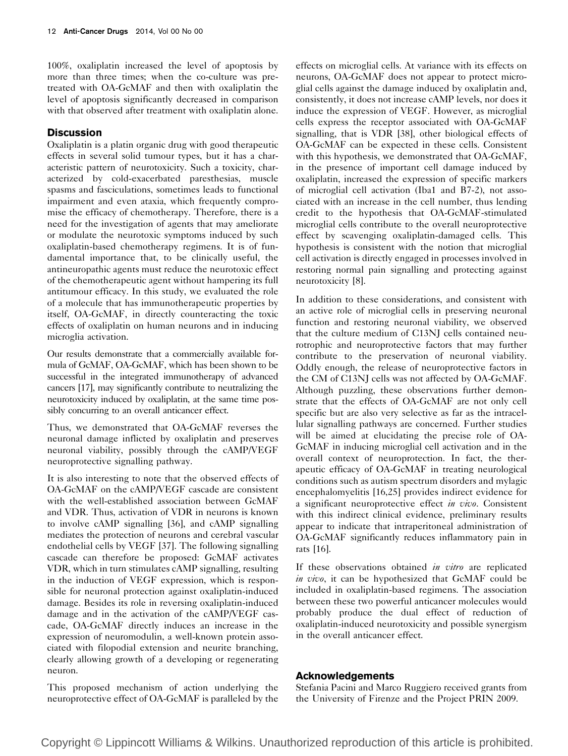100%, oxaliplatin increased the level of apoptosis by more than three times; when the co-culture was pretreated with OA-GcMAF and then with oxaliplatin the level of apoptosis significantly decreased in comparison with that observed after treatment with oxaliplatin alone.

## **Discussion**

Oxaliplatin is a platin organic drug with good therapeutic effects in several solid tumour types, but it has a characteristic pattern of neurotoxicity. Such a toxicity, characterized by cold-exacerbated paresthesias, muscle spasms and fasciculations, sometimes leads to functional impairment and even ataxia, which frequently compromise the efficacy of chemotherapy. Therefore, there is a need for the investigation of agents that may ameliorate or modulate the neurotoxic symptoms induced by such oxaliplatin-based chemotherapy regimens. It is of fundamental importance that, to be clinically useful, the antineuropathic agents must reduce the neurotoxic effect of the chemotherapeutic agent without hampering its full antitumour efficacy. In this study, we evaluated the role of a molecule that has immunotherapeutic properties by itself, OA-GcMAF, in directly counteracting the toxic effects of oxaliplatin on human neurons and in inducing microglia activation.

Our results demonstrate that a commercially available formula of GcMAF, OA-GcMAF, which has been shown to be successful in the integrated immunotherapy of advanced cancers [\[17\]](#page-12-0), may significantly contribute to neutralizing the neurotoxicity induced by oxaliplatin, at the same time possibly concurring to an overall anticancer effect.

Thus, we demonstrated that OA-GcMAF reverses the neuronal damage inflicted by oxaliplatin and preserves neuronal viability, possibly through the cAMP/VEGF neuroprotective signalling pathway.

It is also interesting to note that the observed effects of OA-GcMAF on the cAMP/VEGF cascade are consistent with the well-established association between GcMAF and VDR. Thus, activation of VDR in neurons is known to involve cAMP signalling [\[36](#page-12-0)], and cAMP signalling mediates the protection of neurons and cerebral vascular endothelial cells by VEGF [\[37](#page-12-0)]. The following signalling cascade can therefore be proposed: GcMAF activates VDR, which in turn stimulates cAMP signalling, resulting in the induction of VEGF expression, which is responsible for neuronal protection against oxaliplatin-induced damage. Besides its role in reversing oxaliplatin-induced damage and in the activation of the cAMP/VEGF cascade, OA-GcMAF directly induces an increase in the expression of neuromodulin, a well-known protein associated with filopodial extension and neurite branching, clearly allowing growth of a developing or regenerating neuron.

This proposed mechanism of action underlying the neuroprotective effect of OA-GcMAF is paralleled by the effects on microglial cells. At variance with its effects on neurons, OA-GcMAF does not appear to protect microglial cells against the damage induced by oxaliplatin and, consistently, it does not increase cAMP levels, nor does it induce the expression of VEGF. However, as microglial cells express the receptor associated with OA-GcMAF signalling, that is VDR [\[38\]](#page-12-0), other biological effects of OA-GcMAF can be expected in these cells. Consistent with this hypothesis, we demonstrated that OA-GcMAF, in the presence of important cell damage induced by oxaliplatin, increased the expression of specific markers of microglial cell activation (Iba1 and B7-2), not associated with an increase in the cell number, thus lending credit to the hypothesis that OA-GcMAF-stimulated microglial cells contribute to the overall neuroprotective effect by scavenging oxaliplatin-damaged cells. This hypothesis is consistent with the notion that microglial cell activation is directly engaged in processes involved in restoring normal pain signalling and protecting against neurotoxicity [\[8\]](#page-12-0).

In addition to these considerations, and consistent with an active role of microglial cells in preserving neuronal function and restoring neuronal viability, we observed that the culture medium of C13NJ cells contained neurotrophic and neuroprotective factors that may further contribute to the preservation of neuronal viability. Oddly enough, the release of neuroprotective factors in the CM of C13NJ cells was not affected by OA-GcMAF. Although puzzling, these observations further demonstrate that the effects of OA-GcMAF are not only cell specific but are also very selective as far as the intracellular signalling pathways are concerned. Further studies will be aimed at elucidating the precise role of OA-GcMAF in inducing microglial cell activation and in the overall context of neuroprotection. In fact, the therapeutic efficacy of OA-GcMAF in treating neurological conditions such as autism spectrum disorders and mylagic encephalomyelitis [\[16,25](#page-12-0)] provides indirect evidence for a significant neuroprotective effect in vivo. Consistent with this indirect clinical evidence, preliminary results appear to indicate that intraperitoneal administration of OA-GcMAF significantly reduces inflammatory pain in rats [\[16\]](#page-12-0).

If these observations obtained *in vitro* are replicated in vivo, it can be hypothesized that GcMAF could be included in oxaliplatin-based regimens. The association between these two powerful anticancer molecules would probably produce the dual effect of reduction of oxaliplatin-induced neurotoxicity and possible synergism in the overall anticancer effect.

## Acknowledgements

Stefania Pacini and Marco Ruggiero received grants from the University of Firenze and the Project PRIN 2009.